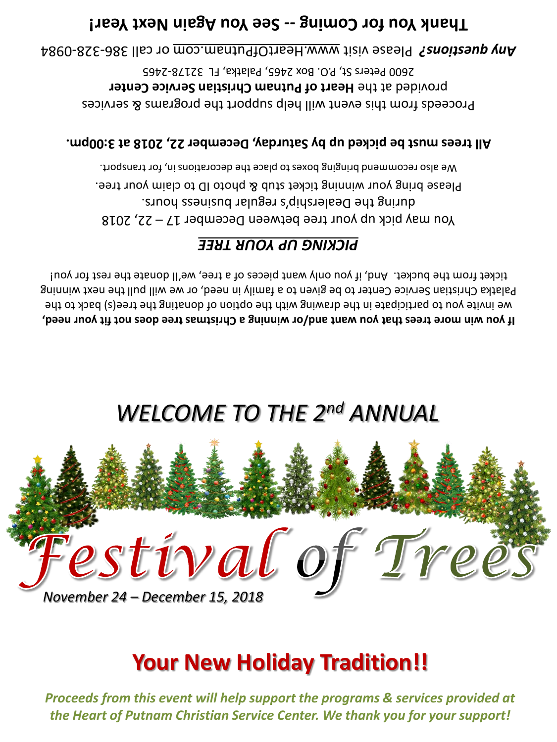*Proceeds from this event will help support the programs & services provided at the Heart of Putnam Christian Service Center. We thank you for your support!*

## **Your New Holiday Tradition!!**



## *WELCOME TO THE 2nd ANNUAL*

**If you win more trees that you want and/or winning a Christmas tree does not fit your need,** we invite you to participate in the drawing with the option of donating the tree(s) back to the Palatka Christian Service Center to be given to a family in need, or we will pull the next winning ticket from the bucket. And, if you only want pieces of a tree, we'll donate the rest for you!

### *PICKING UP YOUR TREE*

You may pick up your tree between December  $17 - 22$ , 2018 during the Dealership's regular business hours. Please bring your winning ticket stub & photo ID to claim your tree. We also recommend bringing boxes to place the decorations in, for transport.

#### **All trees must be picked up by Saturday, December 22, 2018 at 3:00pm.**

Proceeds from this event will help support the programs & services provided at the Heart of Putnam Christian Service Center 2600 Peters St, P.O. Box 2465, Palatka, FL 32178-2465

0984 - 328 - or call 386 www.HeartOfPutnam.com Please visit *Any questions?* 

### Thank Year! Coming -- See You hagain hext Year!